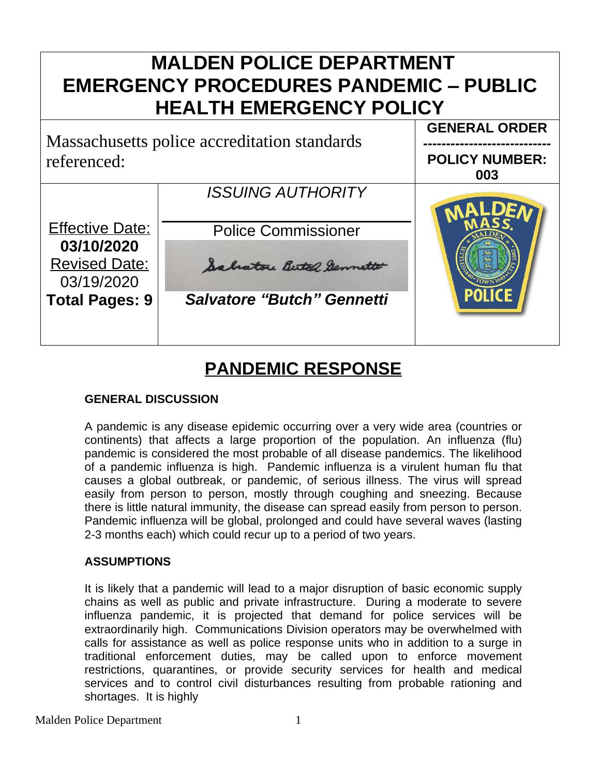# **MALDEN POLICE DEPARTMENT EMERGENCY PROCEDURES PANDEMIC – PUBLIC HEALTH EMERGENCY POLICY GENERAL ORDER** Massachusetts police accreditation standards **---------------------------** referenced: **POLICY NUMBER: 003** *ISSUING AUTHORITY* Effective Date: Police Commissioner **03/10/2020** Revised Date: Salatore Butel Gennett 03/19/2020 *Salvatore "Butch" Gennetti* **Total Pages: 9**

# **PANDEMIC RESPONSE**

# **GENERAL DISCUSSION**

A pandemic is any disease epidemic occurring over a very wide area (countries or continents) that affects a large proportion of the population. An influenza (flu) pandemic is considered the most probable of all disease pandemics. The likelihood of a pandemic influenza is high. Pandemic influenza is a virulent human flu that causes a global outbreak, or pandemic, of serious illness. The virus will spread easily from person to person, mostly through coughing and sneezing. Because there is little natural immunity, the disease can spread easily from person to person. Pandemic influenza will be global, prolonged and could have several waves (lasting 2-3 months each) which could recur up to a period of two years.

# **ASSUMPTIONS**

It is likely that a pandemic will lead to a major disruption of basic economic supply chains as well as public and private infrastructure. During a moderate to severe influenza pandemic, it is projected that demand for police services will be extraordinarily high. Communications Division operators may be overwhelmed with calls for assistance as well as police response units who in addition to a surge in traditional enforcement duties, may be called upon to enforce movement restrictions, quarantines, or provide security services for health and medical services and to control civil disturbances resulting from probable rationing and shortages. It is highly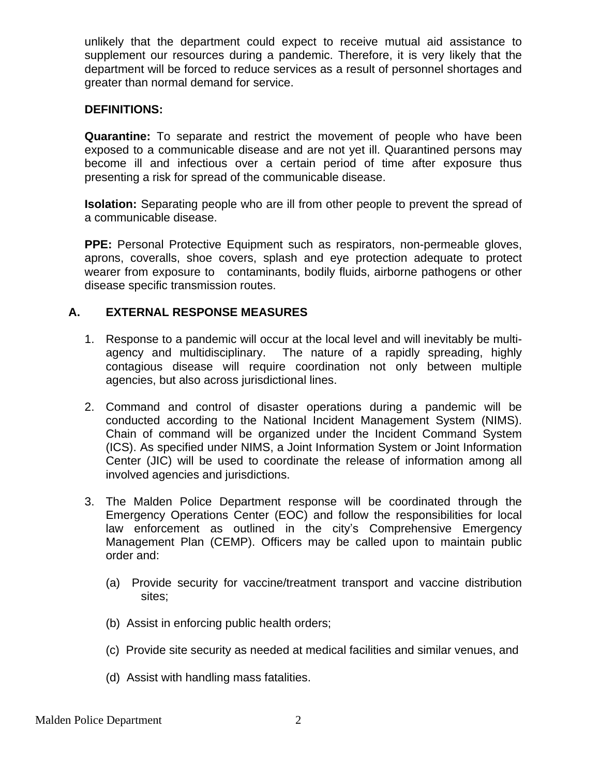unlikely that the department could expect to receive mutual aid assistance to supplement our resources during a pandemic. Therefore, it is very likely that the department will be forced to reduce services as a result of personnel shortages and greater than normal demand for service.

#### **DEFINITIONS:**

**Quarantine:** To separate and restrict the movement of people who have been exposed to a communicable disease and are not yet ill. Quarantined persons may become ill and infectious over a certain period of time after exposure thus presenting a risk for spread of the communicable disease.

**Isolation:** Separating people who are ill from other people to prevent the spread of a communicable disease.

**PPE:** Personal Protective Equipment such as respirators, non-permeable gloves, aprons, coveralls, shoe covers, splash and eye protection adequate to protect wearer from exposure to contaminants, bodily fluids, airborne pathogens or other disease specific transmission routes.

#### **A. EXTERNAL RESPONSE MEASURES**

- 1. Response to a pandemic will occur at the local level and will inevitably be multiagency and multidisciplinary. The nature of a rapidly spreading, highly contagious disease will require coordination not only between multiple agencies, but also across jurisdictional lines.
- 2. Command and control of disaster operations during a pandemic will be conducted according to the National Incident Management System (NIMS). Chain of command will be organized under the Incident Command System (ICS). As specified under NIMS, a Joint Information System or Joint Information Center (JIC) will be used to coordinate the release of information among all involved agencies and jurisdictions.
- 3. The Malden Police Department response will be coordinated through the Emergency Operations Center (EOC) and follow the responsibilities for local law enforcement as outlined in the city's Comprehensive Emergency Management Plan (CEMP). Officers may be called upon to maintain public order and:
	- (a) Provide security for vaccine/treatment transport and vaccine distribution sites;
	- (b) Assist in enforcing public health orders;
	- (c) Provide site security as needed at medical facilities and similar venues, and
	- (d) Assist with handling mass fatalities.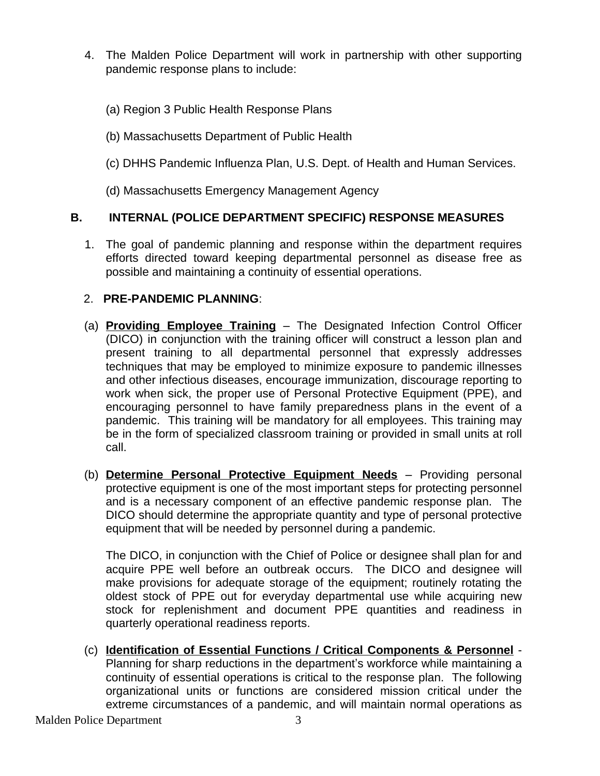- 4. The Malden Police Department will work in partnership with other supporting pandemic response plans to include:
	- (a) Region 3 Public Health Response Plans
	- (b) Massachusetts Department of Public Health
	- (c) DHHS Pandemic Influenza Plan, U.S. Dept. of Health and Human Services.
	- (d) Massachusetts Emergency Management Agency

# **B. INTERNAL (POLICE DEPARTMENT SPECIFIC) RESPONSE MEASURES**

1. The goal of pandemic planning and response within the department requires efforts directed toward keeping departmental personnel as disease free as possible and maintaining a continuity of essential operations.

# 2. **PRE-PANDEMIC PLANNING**:

- (a) **Providing Employee Training** The Designated Infection Control Officer (DICO) in conjunction with the training officer will construct a lesson plan and present training to all departmental personnel that expressly addresses techniques that may be employed to minimize exposure to pandemic illnesses and other infectious diseases, encourage immunization, discourage reporting to work when sick, the proper use of Personal Protective Equipment (PPE), and encouraging personnel to have family preparedness plans in the event of a pandemic. This training will be mandatory for all employees. This training may be in the form of specialized classroom training or provided in small units at roll call.
- (b) **Determine Personal Protective Equipment Needs** Providing personal protective equipment is one of the most important steps for protecting personnel and is a necessary component of an effective pandemic response plan. The DICO should determine the appropriate quantity and type of personal protective equipment that will be needed by personnel during a pandemic.

The DICO, in conjunction with the Chief of Police or designee shall plan for and acquire PPE well before an outbreak occurs. The DICO and designee will make provisions for adequate storage of the equipment; routinely rotating the oldest stock of PPE out for everyday departmental use while acquiring new stock for replenishment and document PPE quantities and readiness in quarterly operational readiness reports.

(c) **Identification of Essential Functions / Critical Components & Personnel** - Planning for sharp reductions in the department's workforce while maintaining a continuity of essential operations is critical to the response plan. The following organizational units or functions are considered mission critical under the extreme circumstances of a pandemic, and will maintain normal operations as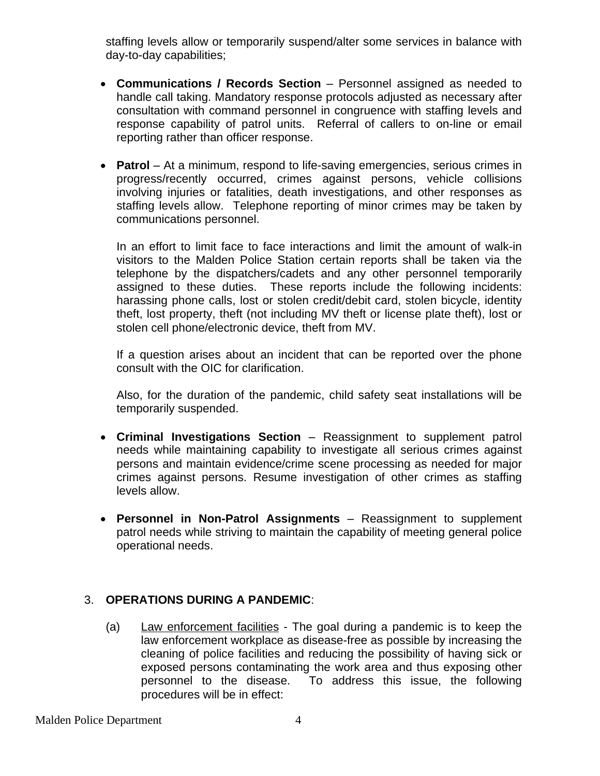staffing levels allow or temporarily suspend/alter some services in balance with day-to-day capabilities;

- **Communications / Records Section** Personnel assigned as needed to handle call taking. Mandatory response protocols adjusted as necessary after consultation with command personnel in congruence with staffing levels and response capability of patrol units. Referral of callers to on-line or email reporting rather than officer response.
- **Patrol** At a minimum, respond to life-saving emergencies, serious crimes in progress/recently occurred, crimes against persons, vehicle collisions involving injuries or fatalities, death investigations, and other responses as staffing levels allow. Telephone reporting of minor crimes may be taken by communications personnel.

In an effort to limit face to face interactions and limit the amount of walk-in visitors to the Malden Police Station certain reports shall be taken via the telephone by the dispatchers/cadets and any other personnel temporarily assigned to these duties. These reports include the following incidents: harassing phone calls, lost or stolen credit/debit card, stolen bicycle, identity theft, lost property, theft (not including MV theft or license plate theft), lost or stolen cell phone/electronic device, theft from MV.

If a question arises about an incident that can be reported over the phone consult with the OIC for clarification.

Also, for the duration of the pandemic, child safety seat installations will be temporarily suspended.

- **Criminal Investigations Section** Reassignment to supplement patrol needs while maintaining capability to investigate all serious crimes against persons and maintain evidence/crime scene processing as needed for major crimes against persons. Resume investigation of other crimes as staffing levels allow.
- **Personnel in Non-Patrol Assignments** Reassignment to supplement patrol needs while striving to maintain the capability of meeting general police operational needs.

# 3. **OPERATIONS DURING A PANDEMIC**:

(a) Law enforcement facilities - The goal during a pandemic is to keep the law enforcement workplace as disease-free as possible by increasing the cleaning of police facilities and reducing the possibility of having sick or exposed persons contaminating the work area and thus exposing other personnel to the disease. To address this issue, the following procedures will be in effect: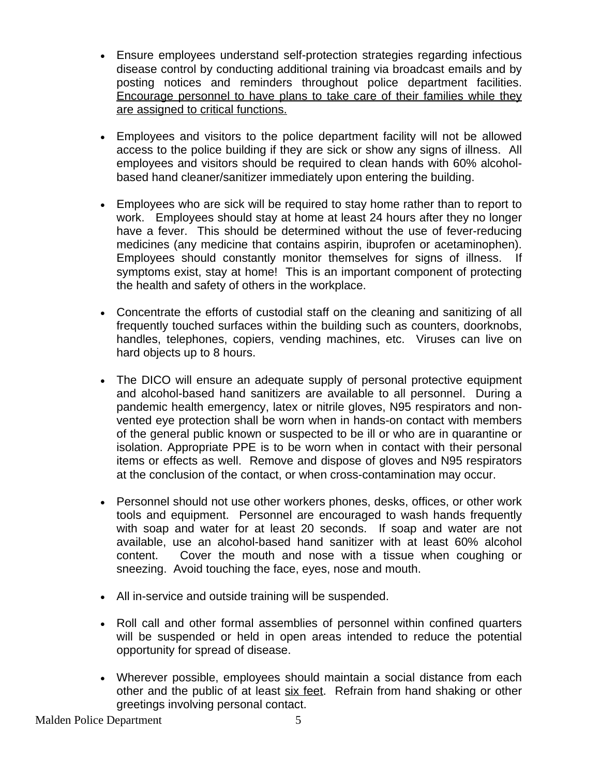- Ensure employees understand self-protection strategies regarding infectious disease control by conducting additional training via broadcast emails and by posting notices and reminders throughout police department facilities. Encourage personnel to have plans to take care of their families while they are assigned to critical functions.
- Employees and visitors to the police department facility will not be allowed access to the police building if they are sick or show any signs of illness. All employees and visitors should be required to clean hands with 60% alcoholbased hand cleaner/sanitizer immediately upon entering the building.
- Employees who are sick will be required to stay home rather than to report to work. Employees should stay at home at least 24 hours after they no longer have a fever. This should be determined without the use of fever-reducing medicines (any medicine that contains aspirin, ibuprofen or acetaminophen). Employees should constantly monitor themselves for signs of illness. If symptoms exist, stay at home! This is an important component of protecting the health and safety of others in the workplace.
- Concentrate the efforts of custodial staff on the cleaning and sanitizing of all frequently touched surfaces within the building such as counters, doorknobs, handles, telephones, copiers, vending machines, etc. Viruses can live on hard objects up to 8 hours.
- The DICO will ensure an adequate supply of personal protective equipment and alcohol-based hand sanitizers are available to all personnel. During a pandemic health emergency, latex or nitrile gloves, N95 respirators and nonvented eye protection shall be worn when in hands-on contact with members of the general public known or suspected to be ill or who are in quarantine or isolation. Appropriate PPE is to be worn when in contact with their personal items or effects as well. Remove and dispose of gloves and N95 respirators at the conclusion of the contact, or when cross-contamination may occur.
- Personnel should not use other workers phones, desks, offices, or other work tools and equipment. Personnel are encouraged to wash hands frequently with soap and water for at least 20 seconds. If soap and water are not available, use an alcohol-based hand sanitizer with at least 60% alcohol content. Cover the mouth and nose with a tissue when coughing or sneezing. Avoid touching the face, eyes, nose and mouth.
- All in-service and outside training will be suspended.
- Roll call and other formal assemblies of personnel within confined quarters will be suspended or held in open areas intended to reduce the potential opportunity for spread of disease.
- Wherever possible, employees should maintain a social distance from each other and the public of at least six feet. Refrain from hand shaking or other greetings involving personal contact.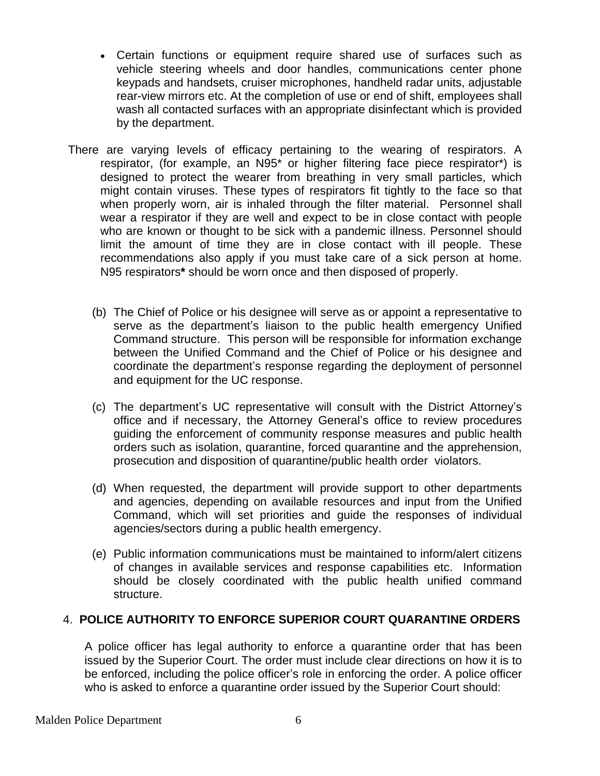- Certain functions or equipment require shared use of surfaces such as vehicle steering wheels and door handles, communications center phone keypads and handsets, cruiser microphones, handheld radar units, adjustable rear-view mirrors etc. At the completion of use or end of shift, employees shall wash all contacted surfaces with an appropriate disinfectant which is provided by the department.
- There are varying levels of efficacy pertaining to the wearing of respirators. A respirator, (for example, an N95\* or higher filtering face piece respirator\*) is designed to protect the wearer from breathing in very small particles, which might contain viruses. These types of respirators fit tightly to the face so that when properly worn, air is inhaled through the filter material. Personnel shall wear a respirator if they are well and expect to be in close contact with people who are known or thought to be sick with a pandemic illness. Personnel should limit the amount of time they are in close contact with ill people. These recommendations also apply if you must take care of a sick person at home. N95 respirators**\*** should be worn once and then disposed of properly.
	- (b) The Chief of Police or his designee will serve as or appoint a representative to serve as the department's liaison to the public health emergency Unified Command structure. This person will be responsible for information exchange between the Unified Command and the Chief of Police or his designee and coordinate the department's response regarding the deployment of personnel and equipment for the UC response.
	- (c) The department's UC representative will consult with the District Attorney's office and if necessary, the Attorney General's office to review procedures guiding the enforcement of community response measures and public health orders such as isolation, quarantine, forced quarantine and the apprehension, prosecution and disposition of quarantine/public health order violators.
	- (d) When requested, the department will provide support to other departments and agencies, depending on available resources and input from the Unified Command, which will set priorities and guide the responses of individual agencies/sectors during a public health emergency.
	- (e) Public information communications must be maintained to inform/alert citizens of changes in available services and response capabilities etc. Information should be closely coordinated with the public health unified command structure.

# 4. **POLICE AUTHORITY TO ENFORCE SUPERIOR COURT QUARANTINE ORDERS**

A police officer has legal authority to enforce a quarantine order that has been issued by the Superior Court. The order must include clear directions on how it is to be enforced, including the police officer's role in enforcing the order. A police officer who is asked to enforce a quarantine order issued by the Superior Court should: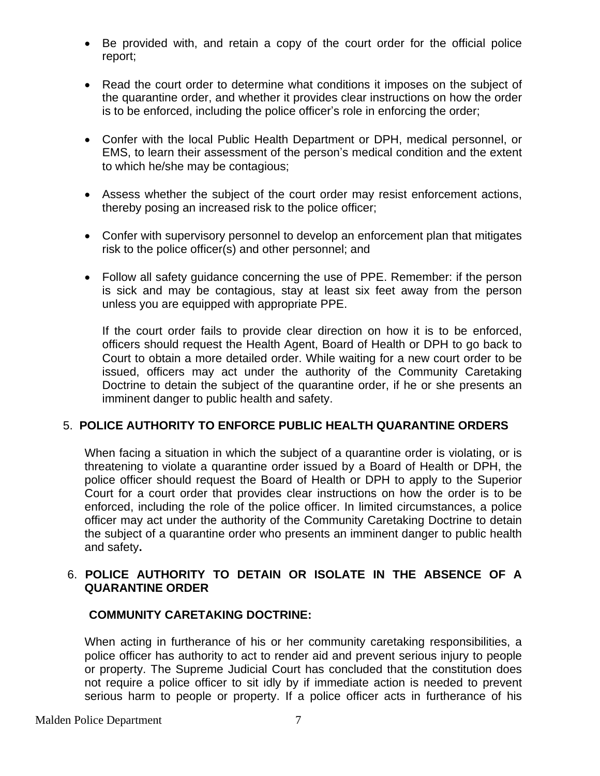- Be provided with, and retain a copy of the court order for the official police report;
- Read the court order to determine what conditions it imposes on the subject of the quarantine order, and whether it provides clear instructions on how the order is to be enforced, including the police officer's role in enforcing the order;
- Confer with the local Public Health Department or DPH, medical personnel, or EMS, to learn their assessment of the person's medical condition and the extent to which he/she may be contagious;
- Assess whether the subject of the court order may resist enforcement actions, thereby posing an increased risk to the police officer;
- Confer with supervisory personnel to develop an enforcement plan that mitigates risk to the police officer(s) and other personnel; and
- Follow all safety guidance concerning the use of PPE. Remember: if the person is sick and may be contagious, stay at least six feet away from the person unless you are equipped with appropriate PPE.

If the court order fails to provide clear direction on how it is to be enforced, officers should request the Health Agent, Board of Health or DPH to go back to Court to obtain a more detailed order. While waiting for a new court order to be issued, officers may act under the authority of the Community Caretaking Doctrine to detain the subject of the quarantine order, if he or she presents an imminent danger to public health and safety.

# 5. **POLICE AUTHORITY TO ENFORCE PUBLIC HEALTH QUARANTINE ORDERS**

When facing a situation in which the subject of a quarantine order is violating, or is threatening to violate a quarantine order issued by a Board of Health or DPH, the police officer should request the Board of Health or DPH to apply to the Superior Court for a court order that provides clear instructions on how the order is to be enforced, including the role of the police officer. In limited circumstances, a police officer may act under the authority of the Community Caretaking Doctrine to detain the subject of a quarantine order who presents an imminent danger to public health and safety**.**

#### 6. **POLICE AUTHORITY TO DETAIN OR ISOLATE IN THE ABSENCE OF A QUARANTINE ORDER**

#### **COMMUNITY CARETAKING DOCTRINE:**

When acting in furtherance of his or her community caretaking responsibilities, a police officer has authority to act to render aid and prevent serious injury to people or property. The Supreme Judicial Court has concluded that the constitution does not require a police officer to sit idly by if immediate action is needed to prevent serious harm to people or property. If a police officer acts in furtherance of his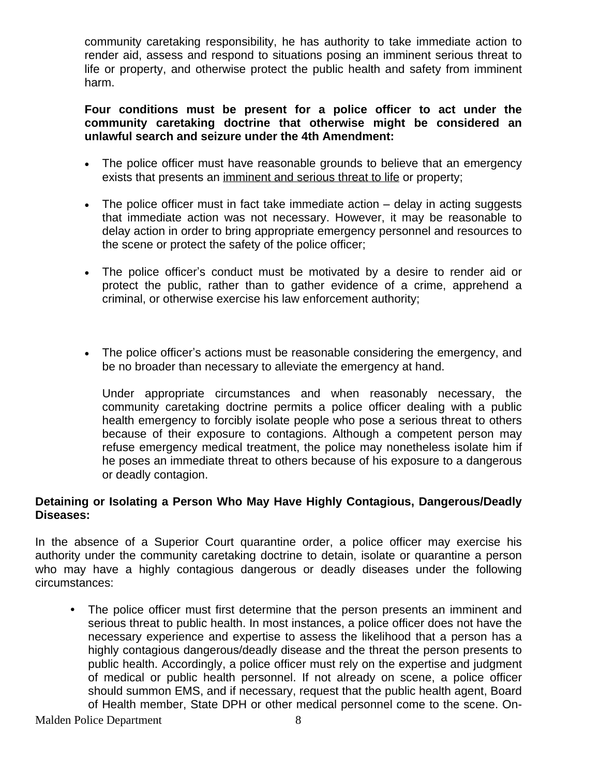community caretaking responsibility, he has authority to take immediate action to render aid, assess and respond to situations posing an imminent serious threat to life or property, and otherwise protect the public health and safety from imminent harm.

#### **Four conditions must be present for a police officer to act under the community caretaking doctrine that otherwise might be considered an unlawful search and seizure under the 4th Amendment:**

- The police officer must have reasonable grounds to believe that an emergency exists that presents an imminent and serious threat to life or property;
- The police officer must in fact take immediate action delay in acting suggests that immediate action was not necessary. However, it may be reasonable to delay action in order to bring appropriate emergency personnel and resources to the scene or protect the safety of the police officer;
- The police officer's conduct must be motivated by a desire to render aid or protect the public, rather than to gather evidence of a crime, apprehend a criminal, or otherwise exercise his law enforcement authority;
- The police officer's actions must be reasonable considering the emergency, and be no broader than necessary to alleviate the emergency at hand.

Under appropriate circumstances and when reasonably necessary, the community caretaking doctrine permits a police officer dealing with a public health emergency to forcibly isolate people who pose a serious threat to others because of their exposure to contagions. Although a competent person may refuse emergency medical treatment, the police may nonetheless isolate him if he poses an immediate threat to others because of his exposure to a dangerous or deadly contagion.

#### **Detaining or Isolating a Person Who May Have Highly Contagious, Dangerous/Deadly Diseases:**

In the absence of a Superior Court quarantine order, a police officer may exercise his authority under the community caretaking doctrine to detain, isolate or quarantine a person who may have a highly contagious dangerous or deadly diseases under the following circumstances:

**•** The police officer must first determine that the person presents an imminent and serious threat to public health. In most instances, a police officer does not have the necessary experience and expertise to assess the likelihood that a person has a highly contagious dangerous/deadly disease and the threat the person presents to public health. Accordingly, a police officer must rely on the expertise and judgment of medical or public health personnel. If not already on scene, a police officer should summon EMS, and if necessary, request that the public health agent, Board of Health member, State DPH or other medical personnel come to the scene. On-